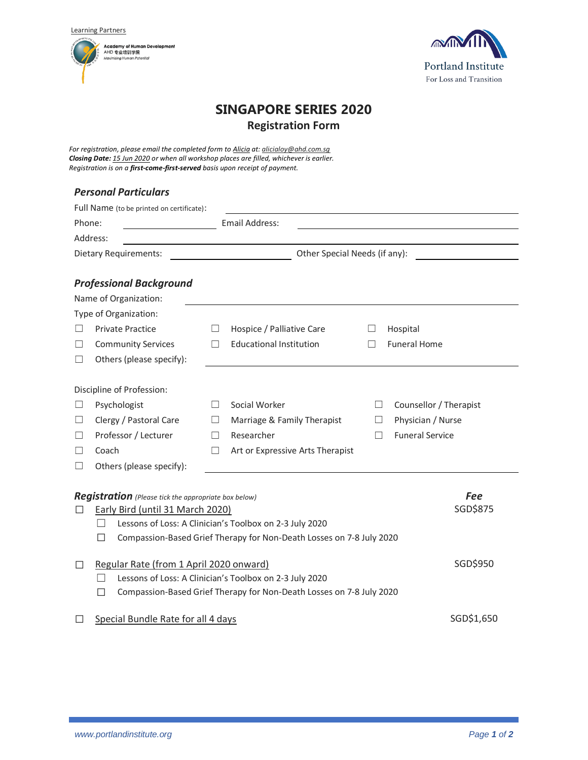Learning Partners





# **SINGAPORE SERIES 2020 Registration Form**

*For registration, please email the completed form to Alicia at: alicialoy@ahd.com.sg Closing Date: 15 Jun 2020 or when all workshop places are filled, whichever is earlier. Registration is on a first-come-first-served basis upon receipt of payment.*

# *Personal Particulars*

|              | Full Name (to be printed on certificate):                                    |          |                                  |         |                        |  |  |
|--------------|------------------------------------------------------------------------------|----------|----------------------------------|---------|------------------------|--|--|
| Phone:       |                                                                              |          | Email Address:                   |         |                        |  |  |
|              | Address:                                                                     |          |                                  |         |                        |  |  |
|              | Dietary Requirements:                                                        |          | Other Special Needs (if any):    |         |                        |  |  |
|              | <b>Professional Background</b>                                               |          |                                  |         |                        |  |  |
|              | Name of Organization:                                                        |          |                                  |         |                        |  |  |
|              | Type of Organization:                                                        |          |                                  |         |                        |  |  |
|              | <b>Private Practice</b>                                                      | $\Box$   | Hospice / Palliative Care        | ш       | Hospital               |  |  |
| $\mathsf{L}$ | <b>Community Services</b>                                                    | П        | <b>Educational Institution</b>   | $\perp$ | <b>Funeral Home</b>    |  |  |
| ப            | Others (please specify):                                                     |          |                                  |         |                        |  |  |
|              |                                                                              |          |                                  |         |                        |  |  |
|              | Discipline of Profession:                                                    |          |                                  |         |                        |  |  |
| ப            | Psychologist                                                                 | $\Box$   | Social Worker                    |         | Counsellor / Therapist |  |  |
| ⊔            | Clergy / Pastoral Care                                                       | $\Box$   | Marriage & Family Therapist      | $\Box$  | Physician / Nurse      |  |  |
|              | Professor / Lecturer                                                         | П        | Researcher                       | П       | <b>Funeral Service</b> |  |  |
|              | Coach                                                                        | □        | Art or Expressive Arts Therapist |         |                        |  |  |
| ш            | Others (please specify):                                                     |          |                                  |         |                        |  |  |
|              |                                                                              |          |                                  |         |                        |  |  |
|              | <b>Registration</b> (Please tick the appropriate box below)                  |          |                                  |         | <b>Fee</b>             |  |  |
| $\Box$       | Early Bird (until 31 March 2020)                                             |          |                                  |         | SGD\$875               |  |  |
|              | Lessons of Loss: A Clinician's Toolbox on 2-3 July 2020<br>$\vert \ \ \vert$ |          |                                  |         |                        |  |  |
|              | Compassion-Based Grief Therapy for Non-Death Losses on 7-8 July 2020<br>П    |          |                                  |         |                        |  |  |
|              |                                                                              |          |                                  |         |                        |  |  |
| $\Box$       | Regular Rate (from 1 April 2020 onward)                                      | SGD\$950 |                                  |         |                        |  |  |
|              | Lessons of Loss: A Clinician's Toolbox on 2-3 July 2020                      |          |                                  |         |                        |  |  |
|              | Compassion-Based Grief Therapy for Non-Death Losses on 7-8 July 2020<br>П    |          |                                  |         |                        |  |  |
|              |                                                                              |          |                                  |         |                        |  |  |
|              | SGD\$1,650<br>Special Bundle Rate for all 4 days                             |          |                                  |         |                        |  |  |